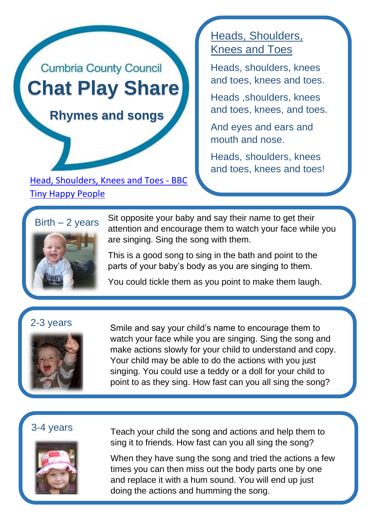# **Cumbria County Council Chat Play Share**

 **Rhymes and songs**

[Head, Shoulders, Knees and Toes -](https://www.bbc.co.uk/tiny-happy-people/heads-shoulders-knees-toes/zbxht39) BBC [Tiny Happy People](https://www.bbc.co.uk/tiny-happy-people/heads-shoulders-knees-toes/zbxht39)

# Heads, Shoulders, Knees and Toes

Heads, shoulders, knees and toes, knees and toes.

Heads ,shoulders, knees and toes, knees, and toes.

And eyes and ears and mouth and nose.

Heads, shoulders, knees and toes, knees and toes!

# $Birth - 2 years$



Sit opposite your baby and say their name to get their attention and encourage them to watch your face while you are singing. Sing the song with them.

This is a good song to sing in the bath and point to the parts of your baby's body as you are singing to them.

You could tickle them as you point to make them laugh.



2-3 years Smi[le and say your child's name to encourage them](https://wordsforlife.org.uk/activities/humpty-dumpty-nursery-rhyme/) to watch your face while you are singing. Sing the song and make actions slowly for your child to understand and copy. Your child may be able to do the actions with you just singing. You could use a teddy or a doll for your child to point to as they sing. How fast can you all sing the song?

# 3-4 years



Teach your child the song and actions and help them to sing it to friends. How fast can you all sing the song?

When they have sung the song and tried the actions a few times you can then miss out the body parts one by one and replace it with a hum sound. You will end up just doing the actions and humming the song.